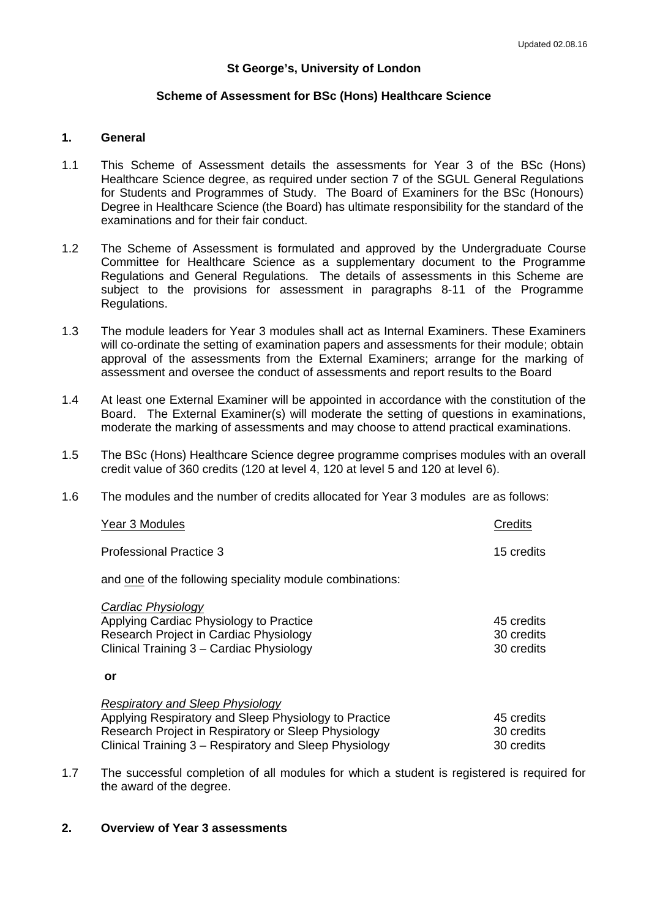# **St George's, University of London**

# **Scheme of Assessment for BSc (Hons) Healthcare Science**

# **1. General**

- 1.1 This Scheme of Assessment details the assessments for Year 3 of the BSc (Hons) Healthcare Science degree, as required under section 7 of the SGUL General Regulations for Students and Programmes of Study. The Board of Examiners for the BSc (Honours) Degree in Healthcare Science (the Board) has ultimate responsibility for the standard of the examinations and for their fair conduct.
- 1.2 The Scheme of Assessment is formulated and approved by the Undergraduate Course Committee for Healthcare Science as a supplementary document to the Programme Regulations and General Regulations. The details of assessments in this Scheme are subject to the provisions for assessment in paragraphs 8-11 of the Programme Regulations.
- 1.3 The module leaders for Year 3 modules shall act as Internal Examiners. These Examiners will co-ordinate the setting of examination papers and assessments for their module; obtain approval of the assessments from the External Examiners; arrange for the marking of assessment and oversee the conduct of assessments and report results to the Board
- 1.4 At least one External Examiner will be appointed in accordance with the constitution of the Board. The External Examiner(s) will moderate the setting of questions in examinations, moderate the marking of assessments and may choose to attend practical examinations.
- 1.5 The BSc (Hons) Healthcare Science degree programme comprises modules with an overall credit value of 360 credits (120 at level 4, 120 at level 5 and 120 at level 6).
- 1.6 The modules and the number of credits allocated for Year 3 modules are as follows:

| Year 3 Modules                                                                                                                                                                                                    | Credits                                |
|-------------------------------------------------------------------------------------------------------------------------------------------------------------------------------------------------------------------|----------------------------------------|
| Professional Practice 3                                                                                                                                                                                           | 15 credits                             |
| and one of the following speciality module combinations:                                                                                                                                                          |                                        |
| Cardiac Physiology<br>Applying Cardiac Physiology to Practice<br>Research Project in Cardiac Physiology<br>Clinical Training 3 - Cardiac Physiology                                                               | 45 credits<br>30 credits<br>30 credits |
| or                                                                                                                                                                                                                |                                        |
| <b>Respiratory and Sleep Physiology</b><br>Applying Respiratory and Sleep Physiology to Practice<br>Research Project in Respiratory or Sleep Physiology<br>Clinical Training 3 – Respiratory and Sleep Physiology | 45 credits<br>30 credits<br>30 credits |
|                                                                                                                                                                                                                   |                                        |

1.7 The successful completion of all modules for which a student is registered is required for the award of the degree.

# **2. Overview of Year 3 assessments**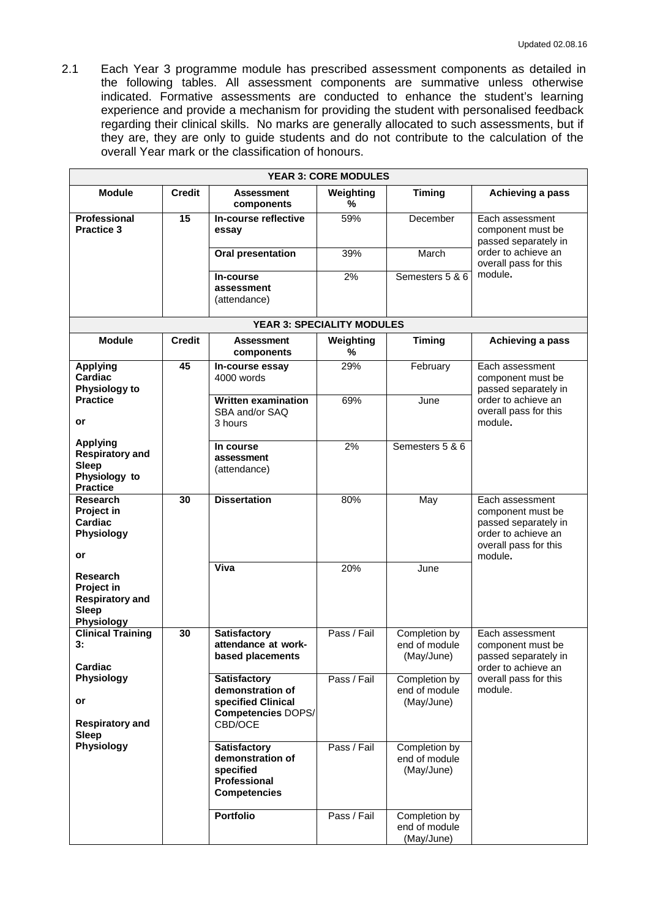2.1 Each Year 3 programme module has prescribed assessment components as detailed in the following tables. All assessment components are summative unless otherwise indicated. Formative assessments are conducted to enhance the student's learning experience and provide a mechanism for providing the student with personalised feedback regarding their clinical skills. No marks are generally allocated to such assessments, but if they are, they are only to guide students and do not contribute to the calculation of the overall Year mark or the classification of honours.

| <b>YEAR 3: CORE MODULES</b>                                                                                           |               |                                                                                                       |                                   |                                              |                                                                                                                         |  |
|-----------------------------------------------------------------------------------------------------------------------|---------------|-------------------------------------------------------------------------------------------------------|-----------------------------------|----------------------------------------------|-------------------------------------------------------------------------------------------------------------------------|--|
| <b>Module</b>                                                                                                         | <b>Credit</b> | Assessment<br>components                                                                              | Weighting<br>%                    | <b>Timing</b>                                | Achieving a pass                                                                                                        |  |
| <b>Professional</b><br><b>Practice 3</b>                                                                              | 15            | In-course reflective<br>essay                                                                         | 59%                               | December                                     | Each assessment<br>component must be<br>passed separately in                                                            |  |
|                                                                                                                       |               | <b>Oral presentation</b>                                                                              | 39%                               | March                                        | order to achieve an<br>overall pass for this                                                                            |  |
|                                                                                                                       |               | In-course<br>assessment<br>(attendance)                                                               | 2%                                | Semesters 5 & 6                              | module.                                                                                                                 |  |
|                                                                                                                       |               |                                                                                                       | <b>YEAR 3: SPECIALITY MODULES</b> |                                              |                                                                                                                         |  |
| <b>Module</b>                                                                                                         | <b>Credit</b> | <b>Assessment</b><br>components                                                                       | Weighting<br>$\%$                 | <b>Timing</b>                                | Achieving a pass                                                                                                        |  |
| <b>Applying</b><br>Cardiac<br>Physiology to                                                                           | 45            | In-course essay<br>4000 words                                                                         | 29%                               | February                                     | Each assessment<br>component must be<br>passed separately in                                                            |  |
| <b>Practice</b><br>or                                                                                                 |               | <b>Written examination</b><br>SBA and/or SAQ<br>3 hours                                               | 69%                               | June                                         | order to achieve an<br>overall pass for this<br>module.                                                                 |  |
| <b>Applying</b><br><b>Respiratory and</b><br><b>Sleep</b><br>Physiology to<br><b>Practice</b>                         |               | In course<br>assessment<br>(attendance)                                                               | 2%                                | Semesters 5 & 6                              |                                                                                                                         |  |
| <b>Research</b><br>Project in<br>Cardiac<br>Physiology<br>or                                                          | 30            | <b>Dissertation</b>                                                                                   | 80%                               | May                                          | Each assessment<br>component must be<br>passed separately in<br>order to achieve an<br>overall pass for this<br>module. |  |
| <b>Research</b><br>Project in<br><b>Respiratory and</b><br><b>Sleep</b><br>Physiology                                 |               | Viva                                                                                                  | 20%                               | June                                         |                                                                                                                         |  |
| <b>Clinical Training</b><br>3:<br>Cardiac<br>Physiology<br>or<br><b>Respiratory and</b><br><b>Sleep</b><br>Physiology | 30            | <b>Satisfactory</b><br>attendance at work-<br>based placements                                        | Pass / Fail                       | Completion by<br>end of module<br>(May/June) | Each assessment<br>component must be<br>passed separately in<br>order to achieve an                                     |  |
|                                                                                                                       |               | <b>Satisfactory</b><br>demonstration of<br>specified Clinical<br><b>Competencies DOPS/</b><br>CBD/OCE | Pass / Fail                       | Completion by<br>end of module<br>(May/June) | overall pass for this<br>module.                                                                                        |  |
|                                                                                                                       |               | <b>Satisfactory</b><br>demonstration of<br>specified<br>Professional<br><b>Competencies</b>           | Pass / Fail                       | Completion by<br>end of module<br>(May/June) |                                                                                                                         |  |
|                                                                                                                       |               | <b>Portfolio</b>                                                                                      | Pass / Fail                       | Completion by<br>end of module<br>(May/June) |                                                                                                                         |  |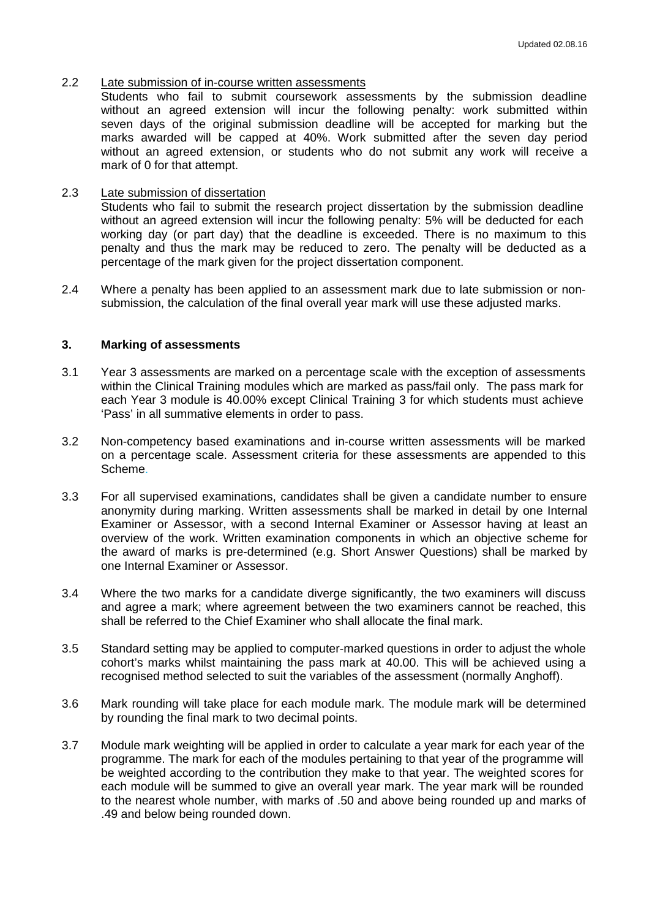# 2.2 Late submission of in-course written assessments

Students who fail to submit coursework assessments by the submission deadline without an agreed extension will incur the following penalty: work submitted within seven days of the original submission deadline will be accepted for marking but the marks awarded will be capped at 40%. Work submitted after the seven day period without an agreed extension, or students who do not submit any work will receive a mark of 0 for that attempt.

# 2.3 Late submission of dissertation

Students who fail to submit the research project dissertation by the submission deadline without an agreed extension will incur the following penalty: 5% will be deducted for each working day (or part day) that the deadline is exceeded. There is no maximum to this penalty and thus the mark may be reduced to zero. The penalty will be deducted as a percentage of the mark given for the project dissertation component.

2.4 Where a penalty has been applied to an assessment mark due to late submission or nonsubmission, the calculation of the final overall year mark will use these adjusted marks.

#### **3. Marking of assessments**

- 3.1 Year 3 assessments are marked on a percentage scale with the exception of assessments within the Clinical Training modules which are marked as pass/fail only. The pass mark for each Year 3 module is 40.00% except Clinical Training 3 for which students must achieve 'Pass' in all summative elements in order to pass.
- 3.2 Non-competency based examinations and in-course written assessments will be marked on a percentage scale. Assessment criteria for these assessments are appended to this Scheme.
- 3.3 For all supervised examinations, candidates shall be given a candidate number to ensure anonymity during marking. Written assessments shall be marked in detail by one Internal Examiner or Assessor, with a second Internal Examiner or Assessor having at least an overview of the work. Written examination components in which an objective scheme for the award of marks is pre-determined (e.g. Short Answer Questions) shall be marked by one Internal Examiner or Assessor.
- 3.4 Where the two marks for a candidate diverge significantly, the two examiners will discuss and agree a mark; where agreement between the two examiners cannot be reached, this shall be referred to the Chief Examiner who shall allocate the final mark.
- 3.5 Standard setting may be applied to computer-marked questions in order to adjust the whole cohort's marks whilst maintaining the pass mark at 40.00. This will be achieved using a recognised method selected to suit the variables of the assessment (normally Anghoff).
- 3.6 Mark rounding will take place for each module mark. The module mark will be determined by rounding the final mark to two decimal points.
- 3.7 Module mark weighting will be applied in order to calculate a year mark for each year of the programme. The mark for each of the modules pertaining to that year of the programme will be weighted according to the contribution they make to that year. The weighted scores for each module will be summed to give an overall year mark. The year mark will be rounded to the nearest whole number, with marks of .50 and above being rounded up and marks of .49 and below being rounded down.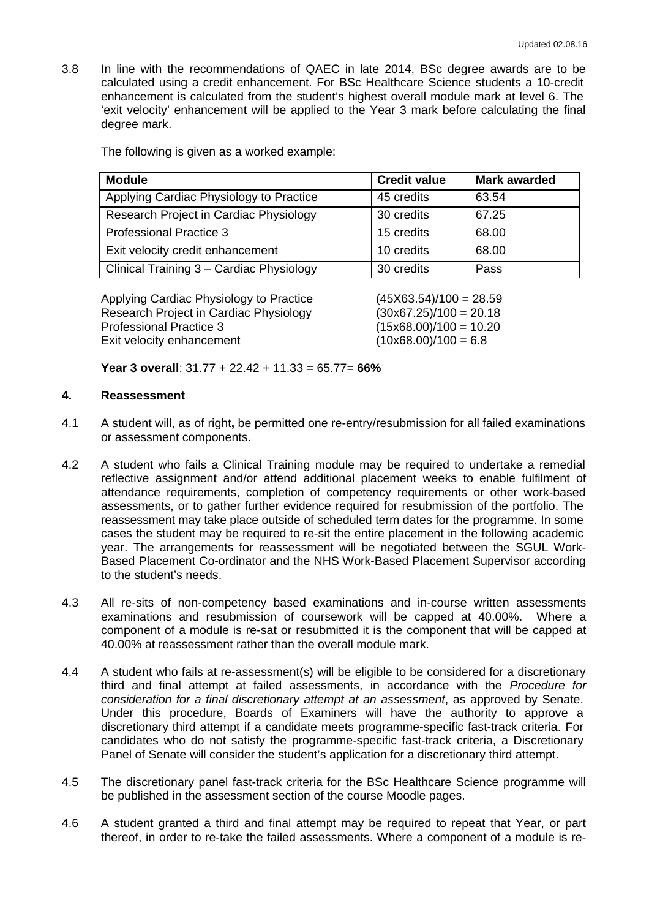3.8 In line with the recommendations of QAEC in late 2014, BSc degree awards are to be calculated using a credit enhancement. For BSc Healthcare Science students a 10-credit enhancement is calculated from the student's highest overall module mark at level 6. The 'exit velocity' enhancement will be applied to the Year 3 mark before calculating the final degree mark.

The following is given as a worked example:

| <b>Module</b>                            | <b>Credit value</b> | <b>Mark awarded</b> |
|------------------------------------------|---------------------|---------------------|
| Applying Cardiac Physiology to Practice  | 45 credits          | 63.54               |
| Research Project in Cardiac Physiology   | 30 credits          | 67.25               |
| <b>Professional Practice 3</b>           | 15 credits          | 68.00               |
| Exit velocity credit enhancement         | 10 credits          | 68.00               |
| Clinical Training 3 - Cardiac Physiology | 30 credits          | Pass                |

Applying Cardiac Physiology to Practice (45X63.54)/100 = 28.59 Research Project in Cardiac Physiology (30x67.25)/100 = 20.18 Professional Practice 3 (15x68.00)/100 = 10.20 Exit velocity enhancement  $(10x68.00)/100 = 6.8$ 

**Year 3 overall**: 31.77 + 22.42 + 11.33 = 65.77= **66%**

# **4. Reassessment**

- 4.1 A student will, as of right**,** be permitted one re-entry/resubmission for all failed examinations or assessment components.
- 4.2 A student who fails a Clinical Training module may be required to undertake a remedial reflective assignment and/or attend additional placement weeks to enable fulfilment of attendance requirements, completion of competency requirements or other work-based assessments, or to gather further evidence required for resubmission of the portfolio. The reassessment may take place outside of scheduled term dates for the programme. In some cases the student may be required to re-sit the entire placement in the following academic year. The arrangements for reassessment will be negotiated between the SGUL Work-Based Placement Co-ordinator and the NHS Work-Based Placement Supervisor according to the student's needs.
- 4.3 All re-sits of non-competency based examinations and in-course written assessments examinations and resubmission of coursework will be capped at 40.00%. Where a component of a module is re-sat or resubmitted it is the component that will be capped at 40.00% at reassessment rather than the overall module mark.
- 4.4 A student who fails at re-assessment(s) will be eligible to be considered for a discretionary third and final attempt at failed assessments, in accordance with the *Procedure for consideration for a final discretionary attempt at an assessment*, as approved by Senate. Under this procedure, Boards of Examiners will have the authority to approve a discretionary third attempt if a candidate meets programme-specific fast-track criteria. For candidates who do not satisfy the programme-specific fast-track criteria, a Discretionary Panel of Senate will consider the student's application for a discretionary third attempt.
- 4.5 The discretionary panel fast-track criteria for the BSc Healthcare Science programme will be published in the assessment section of the course Moodle pages.
- 4.6 A student granted a third and final attempt may be required to repeat that Year, or part thereof, in order to re-take the failed assessments. Where a component of a module is re-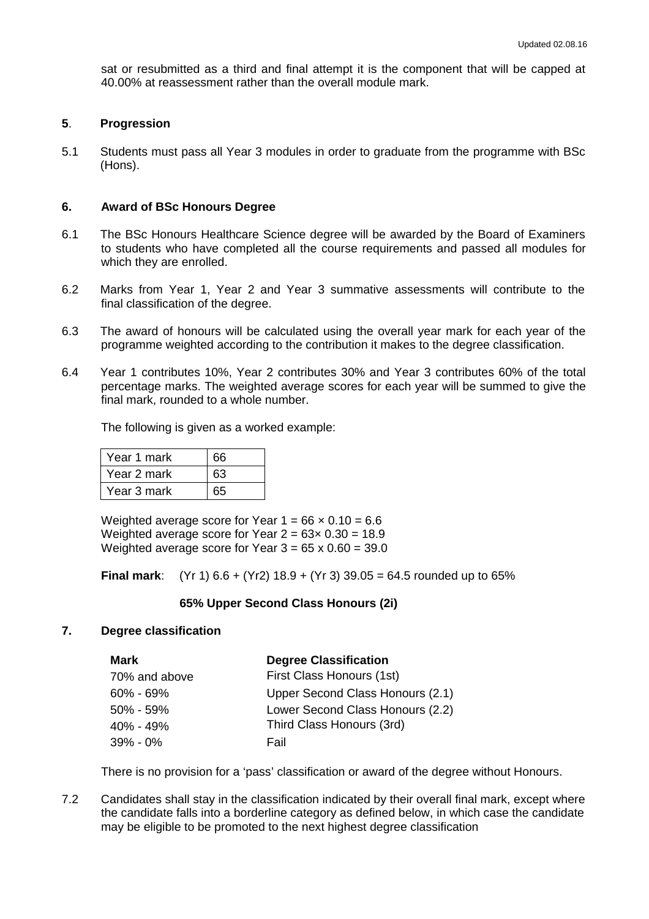sat or resubmitted as a third and final attempt it is the component that will be capped at 40.00% at reassessment rather than the overall module mark.

## **5**. **Progression**

5.1 Students must pass all Year 3 modules in order to graduate from the programme with BSc (Hons).

#### **6. Award of BSc Honours Degree**

- 6.1 The BSc Honours Healthcare Science degree will be awarded by the Board of Examiners to students who have completed all the course requirements and passed all modules for which they are enrolled.
- 6.2 Marks from Year 1, Year 2 and Year 3 summative assessments will contribute to the final classification of the degree.
- 6.3 The award of honours will be calculated using the overall year mark for each year of the programme weighted according to the contribution it makes to the degree classification.
- 6.4 Year 1 contributes 10%, Year 2 contributes 30% and Year 3 contributes 60% of the total percentage marks. The weighted average scores for each year will be summed to give the final mark, rounded to a whole number.

The following is given as a worked example:

| Year 1 mark | 66 |
|-------------|----|
| Year 2 mark | 63 |
| Year 3 mark | 65 |

Weighted average score for Year  $1 = 66 \times 0.10 = 6.6$ Weighted average score for Year  $2 = 63 \times 0.30 = 18.9$ Weighted average score for Year  $3 = 65 \times 0.60 = 39.0$ 

**Final mark**: (Yr 1) 6.6 + (Yr2) 18.9 + (Yr 3) 39.05 = 64.5 rounded up to 65%

# **65% Upper Second Class Honours (2i)**

# **7. Degree classification**

| Mark          | <b>Degree Classification</b>     |
|---------------|----------------------------------|
| 70% and above | First Class Honours (1st)        |
| $60\% - 69\%$ | Upper Second Class Honours (2.1) |
| $50\% - 59\%$ | Lower Second Class Honours (2.2) |
| 40% - 49%     | Third Class Honours (3rd)        |
| $39\% - 0\%$  | Fail                             |

There is no provision for a 'pass' classification or award of the degree without Honours.

7.2 Candidates shall stay in the classification indicated by their overall final mark, except where the candidate falls into a borderline category as defined below, in which case the candidate may be eligible to be promoted to the next highest degree classification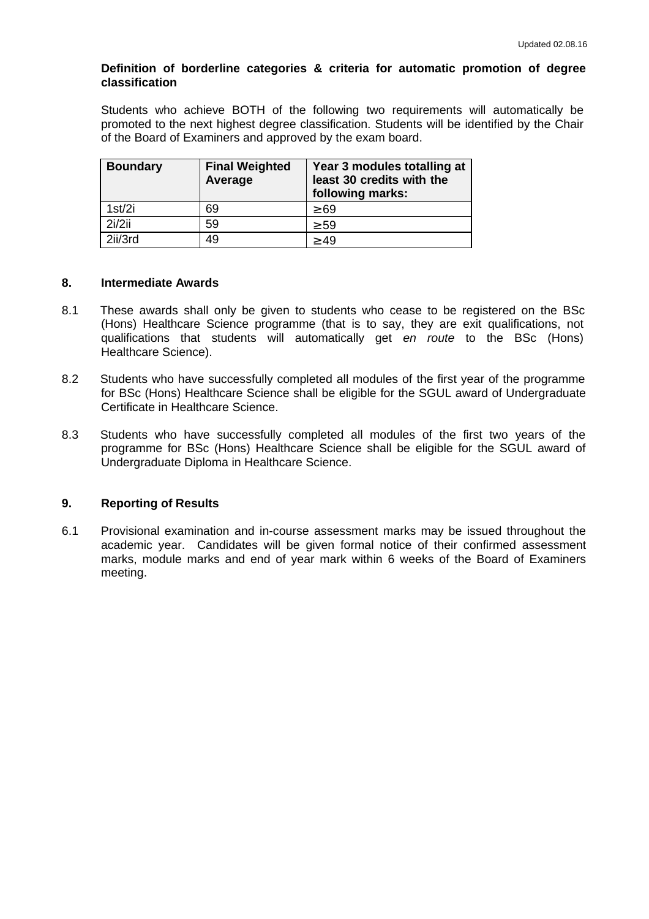# **Definition of borderline categories & criteria for automatic promotion of degree classification**

Students who achieve BOTH of the following two requirements will automatically be promoted to the next highest degree classification. Students will be identified by the Chair of the Board of Examiners and approved by the exam board.

| <b>Boundary</b> | <b>Final Weighted</b><br>Average | Year 3 modules totalling at<br>least 30 credits with the<br>following marks: |
|-----------------|----------------------------------|------------------------------------------------------------------------------|
| 1st/2i          | 69                               | $\geq 69$                                                                    |
| 2i/2ii          | 59                               | $\geq 59$                                                                    |
| 2ii/3rd         | 49                               | $\geq 49$                                                                    |

# **8. Intermediate Awards**

- 8.1 These awards shall only be given to students who cease to be registered on the BSc (Hons) Healthcare Science programme (that is to say, they are exit qualifications, not qualifications that students will automatically get *en route* to the BSc (Hons) Healthcare Science).
- 8.2 Students who have successfully completed all modules of the first year of the programme for BSc (Hons) Healthcare Science shall be eligible for the SGUL award of Undergraduate Certificate in Healthcare Science.
- 8.3 Students who have successfully completed all modules of the first two years of the programme for BSc (Hons) Healthcare Science shall be eligible for the SGUL award of Undergraduate Diploma in Healthcare Science.

# **9. Reporting of Results**

6.1 Provisional examination and in-course assessment marks may be issued throughout the academic year. Candidates will be given formal notice of their confirmed assessment marks, module marks and end of year mark within 6 weeks of the Board of Examiners meeting.